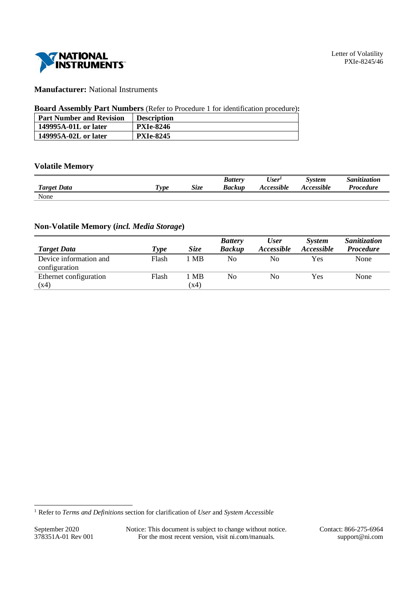

# **Manufacturer:** National Instruments

## **Board Assembly Part Numbers** (Refer to Procedure 1 for identification procedure)**:**

| <b>Part Number and Revision</b> | <b>Description</b> |
|---------------------------------|--------------------|
| 149995A-01L or later            | <b>PXIe-8246</b>   |
| 149995A-02L or later            | <b>PXIe-8245</b>   |

# **Volatile Memory**

|                    |           |             | <b>Battery</b> | $ -$<br>User'     | System     | $\cdot \cdot$<br><i>Sanitization</i> |
|--------------------|-----------|-------------|----------------|-------------------|------------|--------------------------------------|
| <b>Target Data</b> | m<br>"vpe | <b>Size</b> | <b>Backup</b>  | <b>Accessible</b> | Accessible | Procedure                            |
| None               |           |             |                |                   |            |                                      |

## **Non-Volatile Memory (***incl. Media Storage***)**

|                        |       |             | <b>Battery</b> | <b>User</b>       | <b>System</b>     | Sanitization     |
|------------------------|-------|-------------|----------------|-------------------|-------------------|------------------|
| <b>Target Data</b>     | Type  | <i>Size</i> | <b>Backup</b>  | <i>Accessible</i> | <b>Accessible</b> | <b>Procedure</b> |
| Device information and | Flash | MВ          | No             | No                | Yes               | None             |
| configuration          |       |             |                |                   |                   |                  |
| Ethernet configuration | Flash | МB          | N <sub>0</sub> | No                | Yes               | None             |
| (x4)                   |       | (x4)        |                |                   |                   |                  |

September 2020 Notice: This document is subject to change without notice. Contact: 866-275-6964<br>378351A-01 Rev 001 For the most recent version, visit ni.com/manuals. support@ni.com For the most recent version, visit ni.com/manuals. support@ni.com

<sup>1</sup> Refer to *Terms and Definitions* section for clarification of *User* and *System Accessible*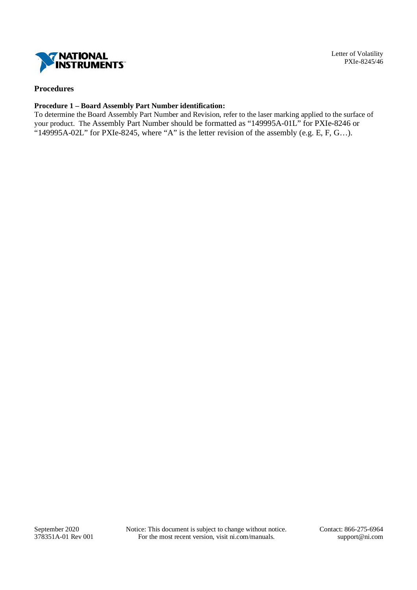

# **Procedures**

## **Procedure 1 – Board Assembly Part Number identification:**

To determine the Board Assembly Part Number and Revision, refer to the laser marking applied to the surface of your product. The Assembly Part Number should be formatted as "149995A-01L" for PXIe-8246 or "149995A-02L" for PXIe-8245, where "A" is the letter revision of the assembly (e.g. E, F, G...).